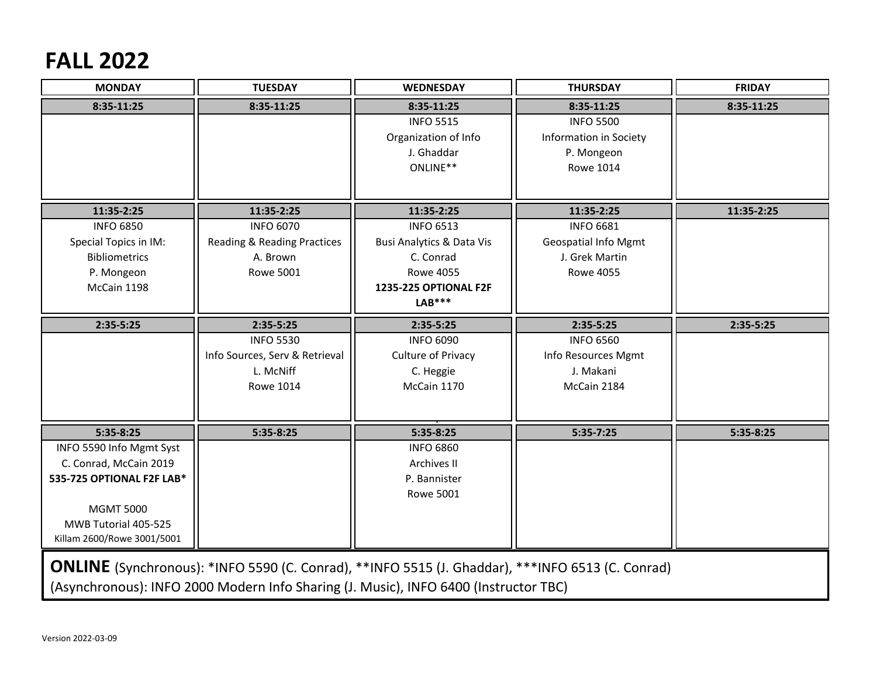## **FALL 2022**

| <b>MONDAY</b>                                                                                           | <b>TUESDAY</b>                         | <b>WEDNESDAY</b>                     | <b>THURSDAY</b>             | <b>FRIDAY</b> |  |  |  |
|---------------------------------------------------------------------------------------------------------|----------------------------------------|--------------------------------------|-----------------------------|---------------|--|--|--|
| 8:35-11:25                                                                                              | 8:35-11:25                             | 8:35-11:25                           | 8:35-11:25                  | 8:35-11:25    |  |  |  |
|                                                                                                         |                                        | <b>INFO 5515</b>                     | <b>INFO 5500</b>            |               |  |  |  |
|                                                                                                         |                                        | Organization of Info                 | Information in Society      |               |  |  |  |
|                                                                                                         |                                        | J. Ghaddar                           | P. Mongeon                  |               |  |  |  |
|                                                                                                         |                                        | ONLINE**                             | <b>Rowe 1014</b>            |               |  |  |  |
|                                                                                                         |                                        |                                      |                             |               |  |  |  |
| 11:35-2:25                                                                                              | 11:35-2:25                             | 11:35-2:25                           | 11:35-2:25                  | 11:35-2:25    |  |  |  |
| <b>INFO 6850</b>                                                                                        | <b>INFO 6070</b>                       | <b>INFO 6513</b>                     | <b>INFO 6681</b>            |               |  |  |  |
| Special Topics in IM:                                                                                   | <b>Reading &amp; Reading Practices</b> | <b>Busi Analytics &amp; Data Vis</b> | <b>Geospatial Info Mgmt</b> |               |  |  |  |
| <b>Bibliometrics</b>                                                                                    | A. Brown                               | C. Conrad                            | J. Grek Martin              |               |  |  |  |
| P. Mongeon                                                                                              | <b>Rowe 5001</b>                       | <b>Rowe 4055</b>                     | <b>Rowe 4055</b>            |               |  |  |  |
| McCain 1198                                                                                             |                                        | 1235-225 OPTIONAL F2F                |                             |               |  |  |  |
|                                                                                                         |                                        | $LAB***$                             |                             |               |  |  |  |
| $2:35-5:25$                                                                                             | $2:35-5:25$                            | $2:35-5:25$                          | 2:35-5:25                   | $2:35-5:25$   |  |  |  |
|                                                                                                         | <b>INFO 5530</b>                       | <b>INFO 6090</b>                     | <b>INFO 6560</b>            |               |  |  |  |
|                                                                                                         | Info Sources, Serv & Retrieval         | Culture of Privacy                   | Info Resources Mgmt         |               |  |  |  |
|                                                                                                         | L. McNiff                              | C. Heggie                            | J. Makani                   |               |  |  |  |
|                                                                                                         | <b>Rowe 1014</b>                       | McCain 1170                          | McCain 2184                 |               |  |  |  |
|                                                                                                         |                                        |                                      |                             |               |  |  |  |
| $5:35-8:25$                                                                                             | $5:35-8:25$                            | $5:35-8:25$                          | $5:35-7:25$                 | $5:35-8:25$   |  |  |  |
| INFO 5590 Info Mgmt Syst                                                                                |                                        | <b>INFO 6860</b>                     |                             |               |  |  |  |
| C. Conrad, McCain 2019                                                                                  |                                        | Archives II                          |                             |               |  |  |  |
| 535-725 OPTIONAL F2F LAB*                                                                               |                                        | P. Bannister                         |                             |               |  |  |  |
|                                                                                                         |                                        | <b>Rowe 5001</b>                     |                             |               |  |  |  |
| <b>MGMT 5000</b>                                                                                        |                                        |                                      |                             |               |  |  |  |
| MWB Tutorial 405-525                                                                                    |                                        |                                      |                             |               |  |  |  |
| Killam 2600/Rowe 3001/5001                                                                              |                                        |                                      |                             |               |  |  |  |
|                                                                                                         |                                        |                                      |                             |               |  |  |  |
| <b>ONLINE</b> (Synchronous): *INFO 5590 (C. Conrad), **INFO 5515 (J. Ghaddar), ***INFO 6513 (C. Conrad) |                                        |                                      |                             |               |  |  |  |
| (Asynchronous): INFO 2000 Modern Info Sharing (J. Music), INFO 6400 (Instructor TBC)                    |                                        |                                      |                             |               |  |  |  |